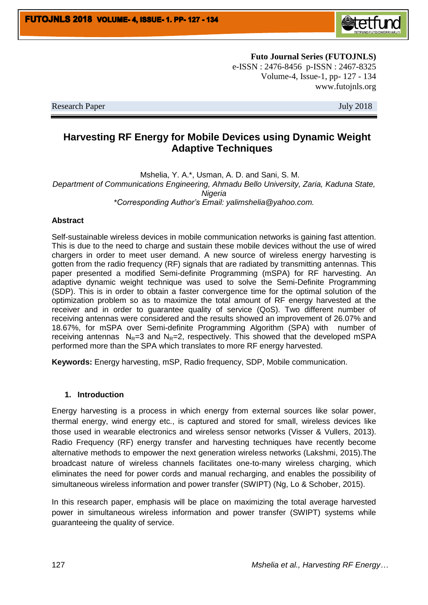

**Futo Journal Series (FUTOJNLS)** e-ISSN : 2476-8456 p-ISSN : 2467-8325 Volume-4, Issue-1, pp- 127 - 134 www.futojnls.org

Research Paper July 2018

# **Harvesting RF Energy for Mobile Devices using Dynamic Weight Adaptive Techniques**

Mshelia, Y. A.\*, Usman, A. D. and Sani, S. M. *Department of Communications Engineering, Ahmadu Bello University, Zaria, Kaduna State, Nigeria \*Corresponding Author's Email: yalimshelia@yahoo.com.*

### **Abstract**

Self-sustainable wireless devices in mobile communication networks is gaining fast attention. This is due to the need to charge and sustain these mobile devices without the use of wired chargers in order to meet user demand. A new source of wireless energy harvesting is gotten from the radio frequency (RF) signals that are radiated by transmitting antennas. This paper presented a modified Semi-definite Programming (mSPA) for RF harvesting. An adaptive dynamic weight technique was used to solve the Semi-Definite Programming (SDP). This is in order to obtain a faster convergence time for the optimal solution of the optimization problem so as to maximize the total amount of RF energy harvested at the receiver and in order to guarantee quality of service (QoS). Two different number of receiving antennas were considered and the results showed an improvement of 26.07% and 18.67%, for mSPA over Semi-definite Programming Algorithm (SPA) with number of receiving antennas  $N_{\text{R}}=3$  and  $N_{\text{R}}=2$ , respectively. This showed that the developed mSPA performed more than the SPA which translates to more RF energy harvested.

**Keywords:** Energy harvesting, mSP, Radio frequency, SDP, Mobile communication.

#### **1. Introduction**

Energy harvesting is a process in which energy from external sources like solar power, thermal energy, wind energy etc., is captured and stored for small, wireless devices like those used in wearable electronics and wireless sensor networks (Visser & Vullers, 2013). Radio Frequency (RF) energy transfer and harvesting techniques have recently become alternative methods to empower the next generation wireless networks (Lakshmi, 2015).The broadcast nature of wireless channels facilitates one-to-many wireless charging, which eliminates the need for power cords and manual recharging, and enables the possibility of simultaneous wireless information and power transfer (SWIPT) (Ng, Lo & Schober, 2015).

In this research paper, emphasis will be place on maximizing the total average harvested power in simultaneous wireless information and power transfer (SWIPT) systems while guaranteeing the quality of service.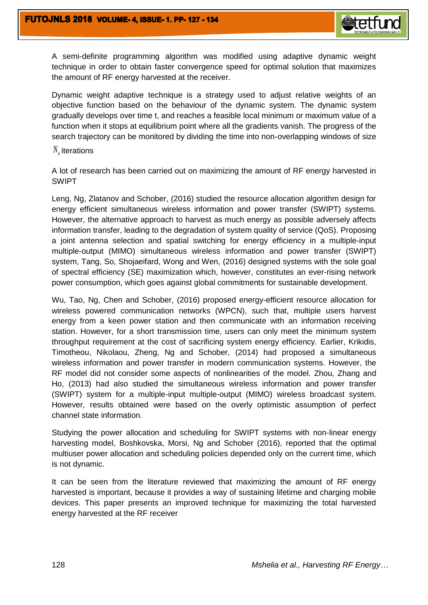

Dynamic weight adaptive technique is a strategy used to adjust relative weights of an objective function based on the behaviour of the dynamic system. The dynamic system gradually develops over time t, and reaches a feasible local minimum or maximum value of a function when it stops at equilibrium point where all the gradients vanish. The progress of the search trajectory can be monitored by dividing the time into non-overlapping windows of size

## *Nu* iterations

A lot of research has been carried out on maximizing the amount of RF energy harvested in SWIPT

Leng, Ng, Zlatanov and Schober, (2016) studied the resource allocation algorithm design for energy efficient simultaneous wireless information and power transfer (SWIPT) systems. However, the alternative approach to harvest as much energy as possible adversely affects information transfer, leading to the degradation of system quality of service (QoS). Proposing a joint antenna selection and spatial switching for energy efficiency in a multiple-input multiple-output (MIMO) simultaneous wireless information and power transfer (SWIPT) system, Tang, So, Shojaeifard, Wong and Wen, (2016) designed systems with the sole goal of spectral efficiency (SE) maximization which, however, constitutes an ever-rising network power consumption, which goes against global commitments for sustainable development.

Wu, Tao, Ng, Chen and Schober, (2016) proposed energy-efficient resource allocation for wireless powered communication networks (WPCN), such that, multiple users harvest energy from a keen power station and then communicate with an information receiving station. However, for a short transmission time, users can only meet the minimum system throughput requirement at the cost of sacrificing system energy efficiency. Earlier, Krikidis, Timotheou, Nikolaou, Zheng, Ng and Schober, (2014) had proposed a simultaneous wireless information and power transfer in modern communication systems. However, the RF model did not consider some aspects of nonlinearities of the model. Zhou, Zhang and Ho, (2013) had also studied the simultaneous wireless information and power transfer (SWIPT) system for a multiple-input multiple-output (MIMO) wireless broadcast system. However, results obtained were based on the overly optimistic assumption of perfect channel state information.

Studying the power allocation and scheduling for SWIPT systems with non-linear energy harvesting model, Boshkovska, Morsi, Ng and Schober (2016), reported that the optimal multiuser power allocation and scheduling policies depended only on the current time, which is not dynamic.

It can be seen from the literature reviewed that maximizing the amount of RF energy harvested is important, because it provides a way of sustaining lifetime and charging mobile devices. This paper presents an improved technique for maximizing the total harvested energy harvested at the RF receiver

**Netfi**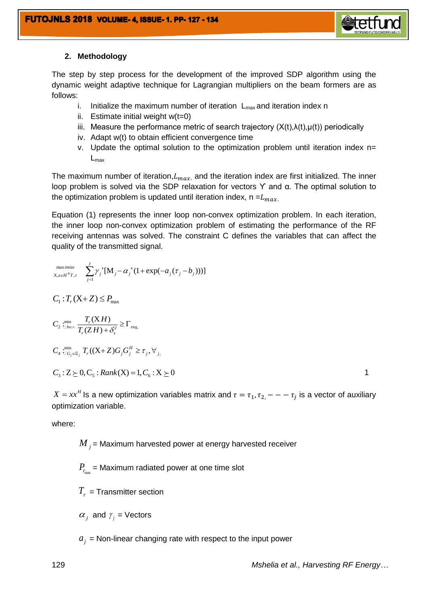

### **2. Methodology**

The step by step process for the development of the improved SDP algorithm using the dynamic weight adaptive technique for Lagrangian multipliers on the beam formers are as follows:

- i. Initialize the maximum number of iteration  $L_{\text{max}}$  and iteration index n
- ii. Estimate initial weight  $w(t=0)$
- iii. Measure the performance metric of search trajectory  $(X(t),\lambda(t),\mu(t))$  periodically
- iv. Adapt w(t) to obtain efficient convergence time
- v. Update the optimal solution to the optimization problem until iteration index n=  $L_{\text{max}}$

The maximum number of iteration,  $L_{max}$ , and the iteration index are first initialized. The inner loop problem is solved via the SDP relaxation for vectors ϒ and α. The optimal solution to the optimization problem is updated until iteration index,  $n = L_{max}$ .

Equation (1) represents the inner loop non-convex optimization problem. In each iteration, the inner loop non-convex optimization problem of estimating the performance of the RF receiving antennas was solved. The constraint C defines the variables that can affect the quality of the transmitted signal.

$$
\begin{aligned}\n\sum_{\substack{X,z \in H^N T, \tau}}^{\text{maximize}} & \sum_{j=1}^J \gamma_j^* [\mathbf{M}_j - \alpha_j^* (1 + \exp(-a_j(\tau_j - b_j)))] \\
C_1: T_r(\mathbf{X} + \mathbf{Z}) &\le P_{\text{max}} \\
C_2: & \lim_{\mathbf{T}_P \in \wedge} \frac{T_r(\mathbf{X} + \mathbf{H})}{T_r(\mathbf{Z} + \mathbf{H}) + \delta_s^2} \ge \Gamma_{req}, \\
C_3: & \lim_{\mathbf{T}_G \in \Xi_j} T_r((\mathbf{X} + \mathbf{Z})G_j G_j^H \ge \tau_j, \forall j, \\
C_3: & \sum \sum \Theta_j C_s : \text{Rank}(\mathbf{X}) = 1, C_6: \mathbf{X} \ge 0\n\end{aligned}
$$

 $X = xx^H$  is a new optimization variables matrix and  $\tau = \tau_1, \tau_2, - - -\tau_i$  is a vector of auxiliary optimization variable.

where:

 $\overline{M}_{j}$ = Maximum harvested power at energy harvested receiver

 $P_{_{r_{\max } }}$  = Maximum radiated power at one time slot

 $T_r$  = Transmitter section

 $\alpha_j$  and  $\gamma_j$  = Vectors

 $a_j$  = Non-linear changing rate with respect to the input power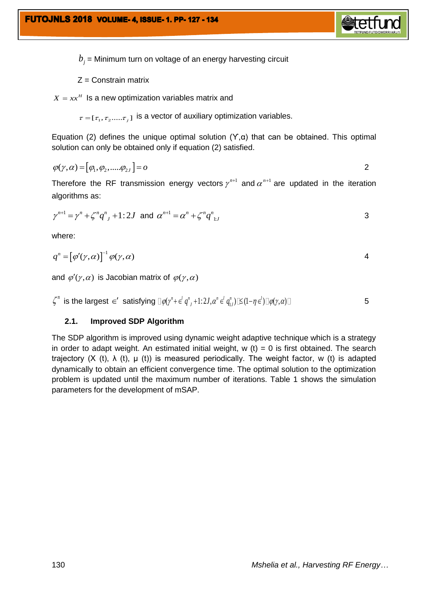

 $b_{j}$  = Minimum turn on voltage of an energy harvesting circuit

 $Z =$  Constrain matrix

 $X = xx^H$  Is a new optimization variables matrix and

 $\tau=[\tau_1, \tau_2....\tau_j]$  is a vector of auxiliary optimization variables.

Equation (2) defines the unique optimal solution  $(Y, \alpha)$  that can be obtained. This optimal solution can only be obtained only if equation (2) satisfied.

$$
\varphi(\gamma,\alpha) = [\varphi_1,\varphi_2, \dots \varphi_{2J}] = o
$$

Therefore the RF transmission energy vectors  $\gamma^{n+1}$  and  $\alpha^{n+1}$  are updated in the iteration algorithms as:

$$
\gamma^{n+1} = \gamma^n + \zeta^n q^n + 1:2J \text{ and } \alpha^{n+1} = \alpha^n + \zeta^n q^n
$$

where:

$$
q^n = [\varphi'(\gamma, \alpha)]^{-1} \varphi(\gamma, \alpha)
$$

and  $\varphi'(\gamma,\alpha)$  is Jacobian matrix of  $\varphi(\gamma,\alpha)$ 

$$
\zeta^n \text{ is the largest } \in' \text{ satisfying } \exists \varphi(\gamma^n + \epsilon^l q^n, +1:2J, \alpha^n \epsilon^l q^n_{i,J}) \mathbb{K}(1-\eta \epsilon^l) \mathbb{I} \varphi(\gamma, \alpha) \mathbb{I} \tag{5}
$$

### **2.1. Improved SDP Algorithm**

The SDP algorithm is improved using dynamic weight adaptive technique which is a strategy in order to adapt weight. An estimated initial weight,  $w(t) = 0$  is first obtained. The search trajectory (X (t),  $\lambda$  (t),  $\mu$  (t)) is measured periodically. The weight factor, w (t) is adapted dynamically to obtain an efficient convergence time. The optimal solution to the optimization problem is updated until the maximum number of iterations. Table 1 shows the simulation parameters for the development of mSAP.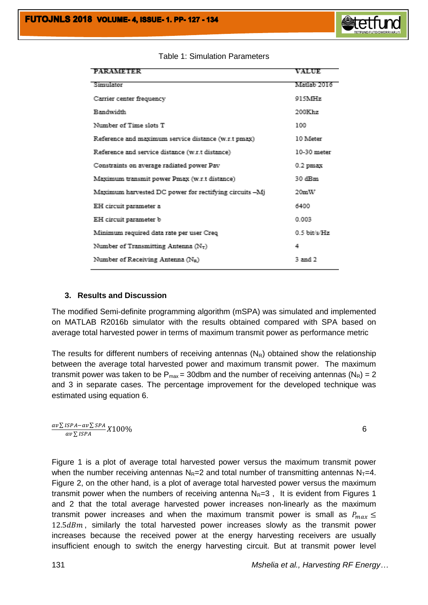

#### Table 1: Simulation Parameters

### **3. Results and Discussion**

The modified Semi-definite programming algorithm (mSPA) was simulated and implemented on MATLAB R2016b simulator with the results obtained compared with SPA based on average total harvested power in terms of maximum transmit power as performance metric

The results for different numbers of receiving antennas  $(N_R)$  obtained show the relationship between the average total harvested power and maximum transmit power. The maximum transmit power was taken to be  $P_{max}$  = 30dbm and the number of receiving antennas (N<sub>R</sub>) = 2 and 3 in separate cases. The percentage improvement for the developed technique was estimated using equation 6.

$$
\frac{av\sum ISPA - av\sum SPA}{av\sum ISPA} X100\%
$$

Figure 1 is a plot of average total harvested power versus the maximum transmit power when the number receiving antennas  $N_R=2$  and total number of transmitting antennas  $N_T=4$ . Figure 2, on the other hand, is a plot of average total harvested power versus the maximum transmit power when the numbers of receiving antenna  $N<sub>R</sub>=3$ , It is evident from Figures 1 and 2 that the total average harvested power increases non-linearly as the maximum transmit power increases and when the maximum transmit power is small as  $P_{max} \le$  $12.5dBm$ , similarly the total harvested power increases slowly as the transmit power increases because the received power at the energy harvesting receivers are usually insufficient enough to switch the energy harvesting circuit. But at transmit power level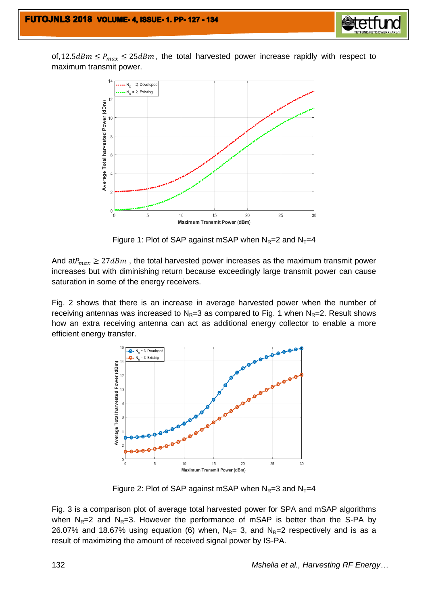

of,  $12.5dBm \le P_{max} \le 25dBm$ , the total harvested power increase rapidly with respect to maximum transmit power.



Figure 1: Plot of SAP against mSAP when  $N_R=2$  and  $N_T=4$ 

And at  $P_{max} \geq 27$  dBm, the total harvested power increases as the maximum transmit power increases but with diminishing return because exceedingly large transmit power can cause saturation in some of the energy receivers.

Fig. 2 shows that there is an increase in average harvested power when the number of receiving antennas was increased to  $N_R=3$  as compared to Fig. 1 when  $N_R=2$ . Result shows how an extra receiving antenna can act as additional energy collector to enable a more efficient energy transfer.



Figure 2: Plot of SAP against mSAP when  $N_R=3$  and  $N_T=4$ 

Fig. 3 is a comparison plot of average total harvested power for SPA and mSAP algorithms when  $N_R=2$  and  $N_R=3$ . However the performance of mSAP is better than the S-PA by 26.07% and 18.67% using equation (6) when,  $N_{R}$ = 3, and  $N_{R}$ =2 respectively and is as a result of maximizing the amount of received signal power by IS-PA.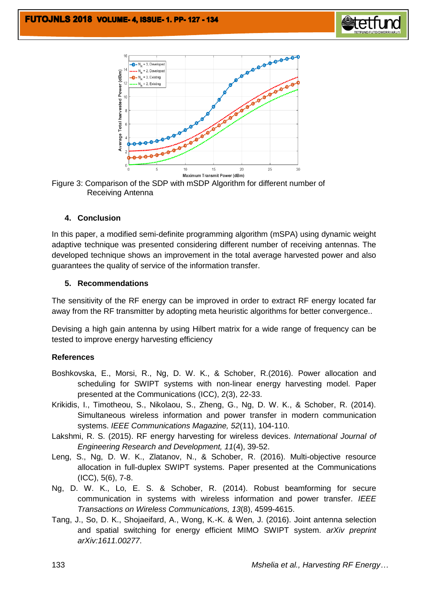





### **4. Conclusion**

In this paper, a modified semi-definite programming algorithm (mSPA) using dynamic weight adaptive technique was presented considering different number of receiving antennas. The developed technique shows an improvement in the total average harvested power and also guarantees the quality of service of the information transfer.

### **5. Recommendations**

The sensitivity of the RF energy can be improved in order to extract RF energy located far away from the RF transmitter by adopting meta heuristic algorithms for better convergence..

Devising a high gain antenna by using Hilbert matrix for a wide range of frequency can be tested to improve energy harvesting efficiency

### **References**

- Boshkovska, E., Morsi, R., Ng, D. W. K., & Schober, R.(2016). Power allocation and scheduling for SWIPT systems with non-linear energy harvesting model. Paper presented at the Communications (ICC), 2(3), 22-33.
- Krikidis, I., Timotheou, S., Nikolaou, S., Zheng, G., Ng, D. W. K., & Schober, R. (2014). Simultaneous wireless information and power transfer in modern communication systems. *IEEE Communications Magazine, 52*(11), 104-110.
- Lakshmi, R. S. (2015). RF energy harvesting for wireless devices. *International Journal of Engineering Research and Development, 11*(4), 39-52.
- Leng, S., Ng, D. W. K., Zlatanov, N., & Schober, R. (2016). Multi-objective resource allocation in full-duplex SWIPT systems. Paper presented at the Communications (ICC), 5(6), 7-8.
- Ng, D. W. K., Lo, E. S. & Schober, R. (2014). Robust beamforming for secure communication in systems with wireless information and power transfer. *IEEE Transactions on Wireless Communications, 13*(8), 4599-4615.
- Tang, J., So, D. K., Shojaeifard, A., Wong, K.-K. & Wen, J. (2016). Joint antenna selection and spatial switching for energy efficient MIMO SWIPT system. *arXiv preprint arXiv:1611.00277*.